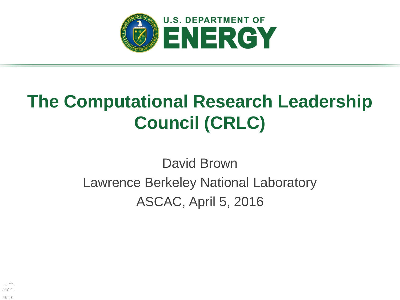

# **The Computational Research Leadership Council (CRLC)**

David Brown Lawrence Berkeley National Laboratory ASCAC, April 5, 2016

岡田良田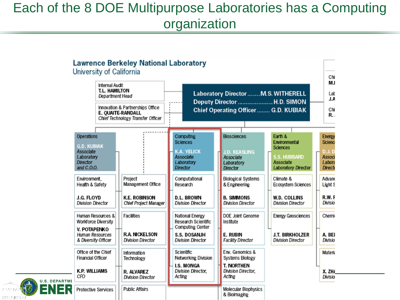#### Each of the 8 DOE Multipurpose Laboratories has a Computing organization

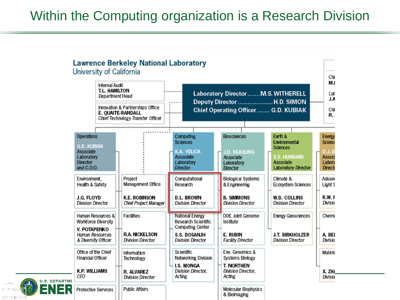#### Within the Computing organization is a Research Division

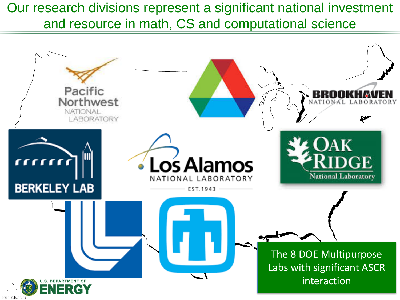Our research divisions represent a significant national investment and resource in math, CS and computational science

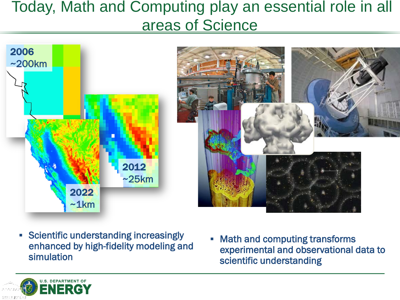### Today, Math and Computing play an essential role in all areas of Science



- **Scientific understanding increasingly** enhanced by high-fidelity modeling and simulation
- **Math and computing transforms** experimental and observational data to scientific understanding

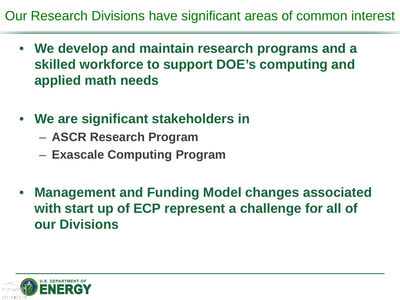Our Research Divisions have significant areas of common interest

- **We develop and maintain research programs and a skilled workforce to support DOE's computing and applied math needs**
- **We are significant stakeholders in** 
	- **ASCR Research Program**
	- **Exascale Computing Program**
- **Management and Funding Model changes associated with start up of ECP represent a challenge for all of our Divisions**

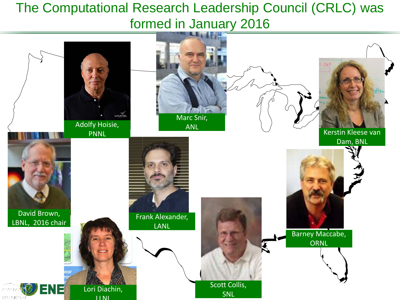#### The Computational Research Leadership Council (CRLC) was formed in January 2016

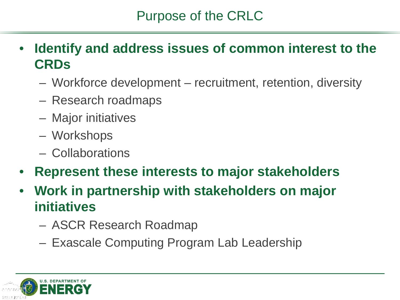#### Purpose of the CRLC

- **Identify and address issues of common interest to the CRDs**
	- Workforce development recruitment, retention, diversity
	- Research roadmaps
	- Major initiatives
	- Workshops
	- Collaborations
- **Represent these interests to major stakeholders**
- **Work in partnership with stakeholders on major initiatives**
	- ASCR Research Roadmap
	- Exascale Computing Program Lab Leadership

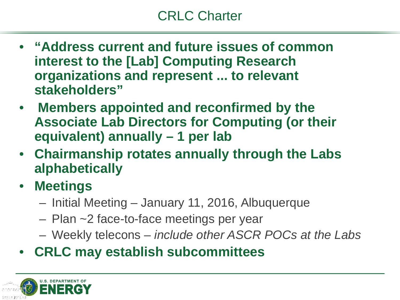- **"Address current and future issues of common interest to the [Lab] Computing Research organizations and represent ... to relevant stakeholders"**
- **Members appointed and reconfirmed by the Associate Lab Directors for Computing (or their equivalent) annually – 1 per lab**
- **Chairmanship rotates annually through the Labs alphabetically**
- **Meetings**
	- Initial Meeting January 11, 2016, Albuquerque
	- Plan ~2 face-to-face meetings per year
	- Weekly telecons *include other ASCR POCs at the Labs*
- **CRLC may establish subcommittees**

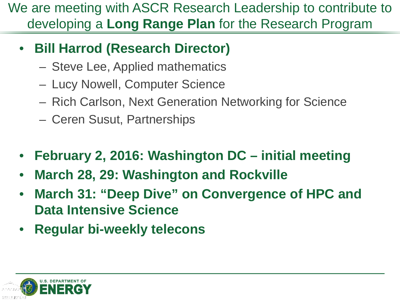We are meeting with ASCR Research Leadership to contribute to developing a **Long Range Plan** for the Research Program

- **Bill Harrod (Research Director)**
	- Steve Lee, Applied mathematics
	- Lucy Nowell, Computer Science
	- Rich Carlson, Next Generation Networking for Science
	- Ceren Susut, Partnerships
- **February 2, 2016: Washington DC – initial meeting**
- **March 28, 29: Washington and Rockville**
- **March 31: "Deep Dive" on Convergence of HPC and Data Intensive Science**
- **Regular bi-weekly telecons**

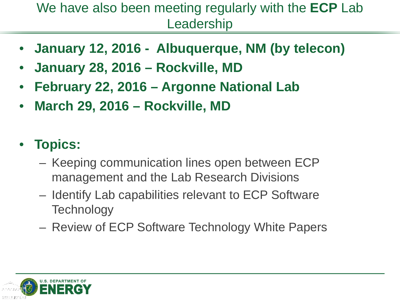#### We have also been meeting regularly with the **ECP** Lab Leadership

- **January 12, 2016 Albuquerque, NM (by telecon)**
- **January 28, 2016 – Rockville, MD**
- **February 22, 2016 – Argonne National Lab**
- **March 29, 2016 – Rockville, MD**

### • **Topics:**

- Keeping communication lines open between ECP management and the Lab Research Divisions
- Identify Lab capabilities relevant to ECP Software **Technology**
- Review of ECP Software Technology White Papers